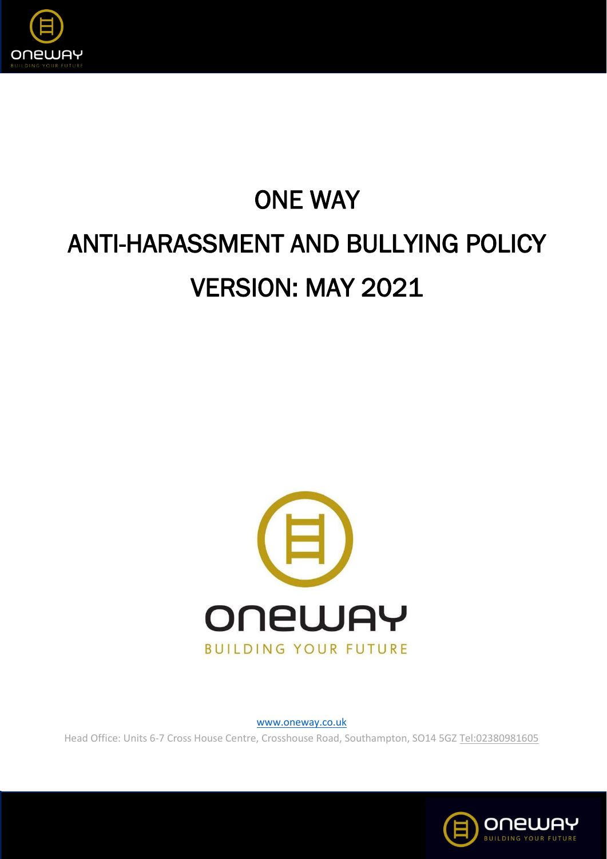

# ONE WAY ANTI-HARASSMENT AND BULLYING POLICY VERSION: MAY 2021



[www.oneway.co.uk](http://www.oneway.co.uk/)

Head Office: Units 6-7 Cross House Centre, Crosshouse Road, Southampton, SO14 5G[Z Tel:02380981605](tel:02380981605)

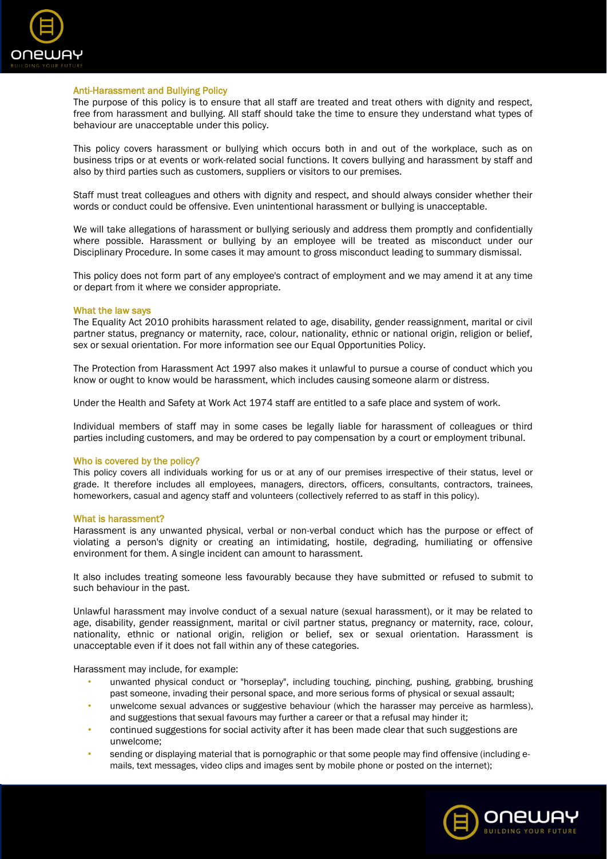

## Anti-Harassment and Bullying Policy

The purpose of this policy is to ensure that all staff are treated and treat others with dignity and respect, free from harassment and bullying. All staff should take the time to ensure they understand what types of behaviour are unacceptable under this policy.

This policy covers harassment or bullying which occurs both in and out of the workplace, such as on business trips or at events or work-related social functions. It covers bullying and harassment by staff and also by third parties such as customers, suppliers or visitors to our premises.

Staff must treat colleagues and others with dignity and respect, and should always consider whether their words or conduct could be offensive. Even unintentional harassment or bullying is unacceptable.

We will take allegations of harassment or bullying seriously and address them promptly and confidentially where possible. Harassment or bullying by an employee will be treated as misconduct under our Disciplinary Procedure. In some cases it may amount to gross misconduct leading to summary dismissal.

This policy does not form part of any employee's contract of employment and we may amend it at any time or depart from it where we consider appropriate.

## What the law says

The Equality Act 2010 prohibits harassment related to age, disability, gender reassignment, marital or civil partner status, pregnancy or maternity, race, colour, nationality, ethnic or national origin, religion or belief, sex or sexual orientation. For more information see our Equal Opportunities Policy.

The Protection from Harassment Act 1997 also makes it unlawful to pursue a course of conduct which you know or ought to know would be harassment, which includes causing someone alarm or distress.

Under the Health and Safety at Work Act 1974 staff are entitled to a safe place and system of work.

Individual members of staff may in some cases be legally liable for harassment of colleagues or third parties including customers, and may be ordered to pay compensation by a court or employment tribunal.

#### Who is covered by the policy?

This policy covers all individuals working for us or at any of our premises irrespective of their status, level or grade. It therefore includes all employees, managers, directors, officers, consultants, contractors, trainees, homeworkers, casual and agency staff and volunteers (collectively referred to as staff in this policy).

## What is harassment?

Harassment is any unwanted physical, verbal or non-verbal conduct which has the purpose or effect of violating a person's dignity or creating an intimidating, hostile, degrading, humiliating or offensive environment for them. A single incident can amount to harassment.

It also includes treating someone less favourably because they have submitted or refused to submit to such behaviour in the past.

Unlawful harassment may involve conduct of a sexual nature (sexual harassment), or it may be related to age, disability, gender reassignment, marital or civil partner status, pregnancy or maternity, race, colour, nationality, ethnic or national origin, religion or belief, sex or sexual orientation. Harassment is unacceptable even if it does not fall within any of these categories.

Harassment may include, for example:

- unwanted physical conduct or "horseplay", including touching, pinching, pushing, grabbing, brushing past someone, invading their personal space, and more serious forms of physical or sexual assault;
- unwelcome sexual advances or suggestive behaviour (which the harasser may perceive as harmless), and suggestions that sexual favours may further a career or that a refusal may hinder it;
- continued suggestions for social activity after it has been made clear that such suggestions are unwelcome;
- sending or displaying material that is pornographic or that some people may find offensive (including emails, text messages, video clips and images sent by mobile phone or posted on the internet);

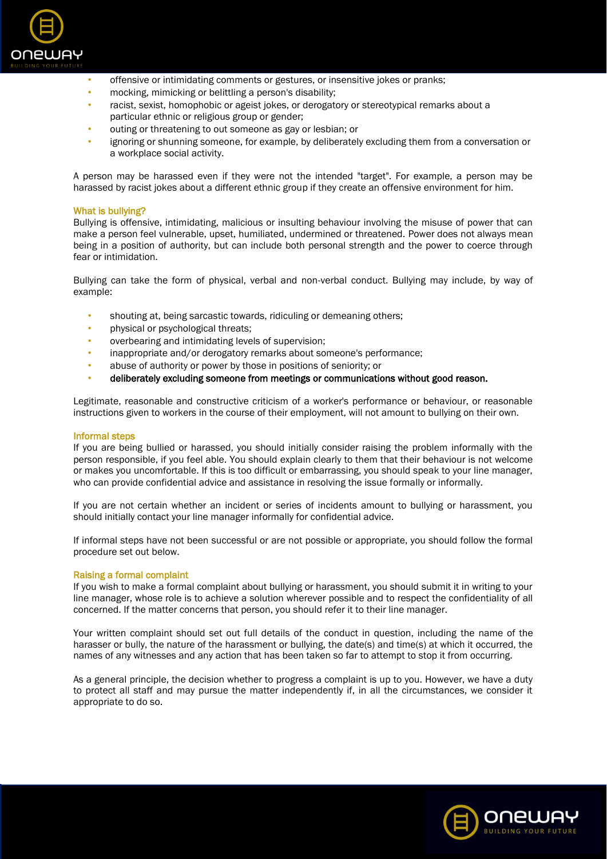

- offensive or intimidating comments or gestures, or insensitive jokes or pranks;
- mocking, mimicking or belittling a person's disability;
- racist, sexist, homophobic or ageist jokes, or derogatory or stereotypical remarks about a particular ethnic or religious group or gender;
- outing or threatening to out someone as gay or lesbian; or
- ignoring or shunning someone, for example, by deliberately excluding them from a conversation or a workplace social activity.

A person may be harassed even if they were not the intended "target". For example, a person may be harassed by racist jokes about a different ethnic group if they create an offensive environment for him.

## What is bullying?

Bullying is offensive, intimidating, malicious or insulting behaviour involving the misuse of power that can make a person feel vulnerable, upset, humiliated, undermined or threatened. Power does not always mean being in a position of authority, but can include both personal strength and the power to coerce through fear or intimidation.

Bullying can take the form of physical, verbal and non-verbal conduct. Bullying may include, by way of example:

- shouting at, being sarcastic towards, ridiculing or demeaning others;
- physical or psychological threats;
- overbearing and intimidating levels of supervision;
- inappropriate and/or derogatory remarks about someone's performance;
- abuse of authority or power by those in positions of seniority; or
- deliberately excluding someone from meetings or communications without good reason.

Legitimate, reasonable and constructive criticism of a worker's performance or behaviour, or reasonable instructions given to workers in the course of their employment, will not amount to bullying on their own.

#### Informal steps

If you are being bullied or harassed, you should initially consider raising the problem informally with the person responsible, if you feel able. You should explain clearly to them that their behaviour is not welcome or makes you uncomfortable. If this is too difficult or embarrassing, you should speak to your line manager, who can provide confidential advice and assistance in resolving the issue formally or informally.

If you are not certain whether an incident or series of incidents amount to bullying or harassment, you should initially contact your line manager informally for confidential advice.

If informal steps have not been successful or are not possible or appropriate, you should follow the formal procedure set out below.

## Raising a formal complaint

If you wish to make a formal complaint about bullying or harassment, you should submit it in writing to your line manager, whose role is to achieve a solution wherever possible and to respect the confidentiality of all concerned. If the matter concerns that person, you should refer it to their line manager.

Your written complaint should set out full details of the conduct in question, including the name of the harasser or bully, the nature of the harassment or bullying, the date(s) and time(s) at which it occurred, the names of any witnesses and any action that has been taken so far to attempt to stop it from occurring.

As a general principle, the decision whether to progress a complaint is up to you. However, we have a duty to protect all staff and may pursue the matter independently if, in all the circumstances, we consider it appropriate to do so.

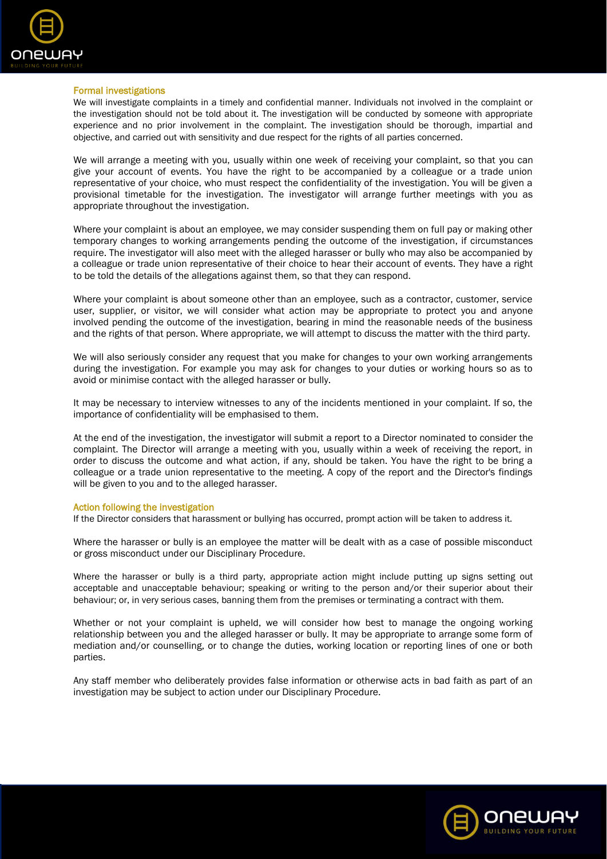

## Formal investigations

We will investigate complaints in a timely and confidential manner. Individuals not involved in the complaint or the investigation should not be told about it. The investigation will be conducted by someone with appropriate experience and no prior involvement in the complaint. The investigation should be thorough, impartial and objective, and carried out with sensitivity and due respect for the rights of all parties concerned.

We will arrange a meeting with you, usually within one week of receiving your complaint, so that you can give your account of events. You have the right to be accompanied by a colleague or a trade union representative of your choice, who must respect the confidentiality of the investigation. You will be given a provisional timetable for the investigation. The investigator will arrange further meetings with you as appropriate throughout the investigation.

Where your complaint is about an employee, we may consider suspending them on full pay or making other temporary changes to working arrangements pending the outcome of the investigation, if circumstances require. The investigator will also meet with the alleged harasser or bully who may also be accompanied by a colleague or trade union representative of their choice to hear their account of events. They have a right to be told the details of the allegations against them, so that they can respond.

Where your complaint is about someone other than an employee, such as a contractor, customer, service user, supplier, or visitor, we will consider what action may be appropriate to protect you and anyone involved pending the outcome of the investigation, bearing in mind the reasonable needs of the business and the rights of that person. Where appropriate, we will attempt to discuss the matter with the third party.

We will also seriously consider any request that you make for changes to your own working arrangements during the investigation. For example you may ask for changes to your duties or working hours so as to avoid or minimise contact with the alleged harasser or bully.

It may be necessary to interview witnesses to any of the incidents mentioned in your complaint. If so, the importance of confidentiality will be emphasised to them.

At the end of the investigation, the investigator will submit a report to a Director nominated to consider the complaint. The Director will arrange a meeting with you, usually within a week of receiving the report, in order to discuss the outcome and what action, if any, should be taken. You have the right to be bring a colleague or a trade union representative to the meeting. A copy of the report and the Director's findings will be given to you and to the alleged harasser.

#### Action following the investigation

If the Director considers that harassment or bullying has occurred, prompt action will be taken to address it.

Where the harasser or bully is an employee the matter will be dealt with as a case of possible misconduct or gross misconduct under our Disciplinary Procedure.

Where the harasser or bully is a third party, appropriate action might include putting up signs setting out acceptable and unacceptable behaviour; speaking or writing to the person and/or their superior about their behaviour; or, in very serious cases, banning them from the premises or terminating a contract with them.

Whether or not your complaint is upheld, we will consider how best to manage the ongoing working relationship between you and the alleged harasser or bully. It may be appropriate to arrange some form of mediation and/or counselling, or to change the duties, working location or reporting lines of one or both parties.

Any staff member who deliberately provides false information or otherwise acts in bad faith as part of an investigation may be subject to action under our Disciplinary Procedure.